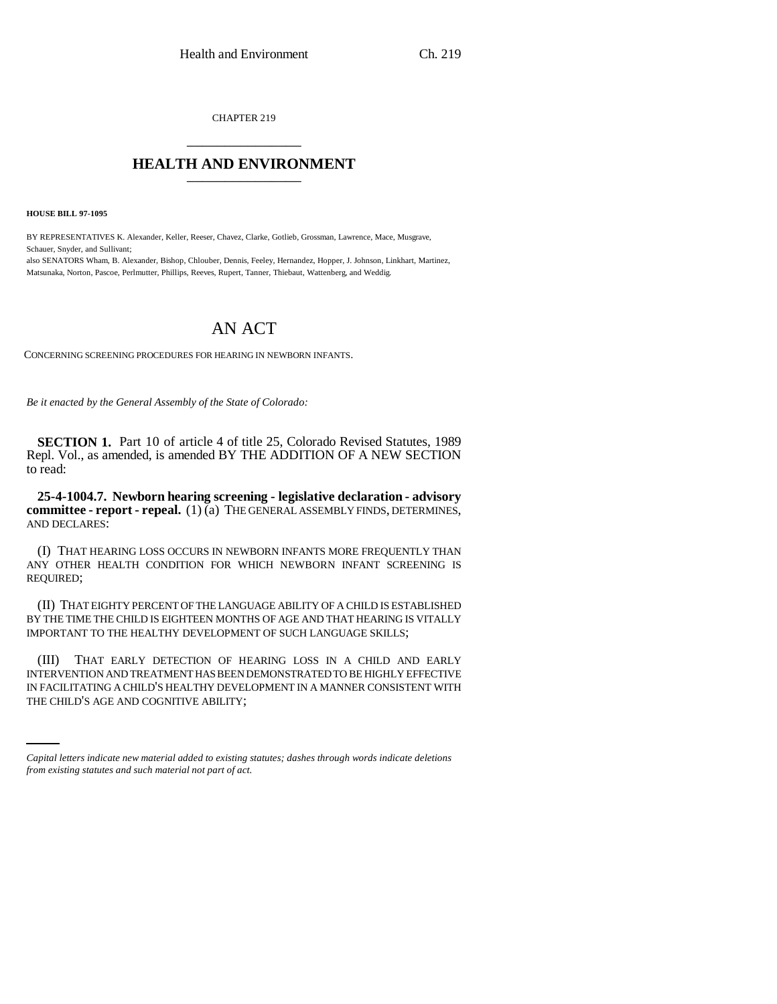CHAPTER 219 \_\_\_\_\_\_\_\_\_\_\_\_\_\_\_

## **HEALTH AND ENVIRONMENT** \_\_\_\_\_\_\_\_\_\_\_\_\_\_\_

**HOUSE BILL 97-1095**

BY REPRESENTATIVES K. Alexander, Keller, Reeser, Chavez, Clarke, Gotlieb, Grossman, Lawrence, Mace, Musgrave, Schauer, Snyder, and Sullivant; also SENATORS Wham, B. Alexander, Bishop, Chlouber, Dennis, Feeley, Hernandez, Hopper, J. Johnson, Linkhart, Martinez, Matsunaka, Norton, Pascoe, Perlmutter, Phillips, Reeves, Rupert, Tanner, Thiebaut, Wattenberg, and Weddig.

## AN ACT

CONCERNING SCREENING PROCEDURES FOR HEARING IN NEWBORN INFANTS.

*Be it enacted by the General Assembly of the State of Colorado:*

**SECTION 1.** Part 10 of article 4 of title 25, Colorado Revised Statutes, 1989 Repl. Vol., as amended, is amended BY THE ADDITION OF A NEW SECTION to read:

**25-4-1004.7. Newborn hearing screening - legislative declaration - advisory committee - report - repeal.** (1) (a) THE GENERAL ASSEMBLY FINDS, DETERMINES, AND DECLARES:

(I) THAT HEARING LOSS OCCURS IN NEWBORN INFANTS MORE FREQUENTLY THAN ANY OTHER HEALTH CONDITION FOR WHICH NEWBORN INFANT SCREENING IS REQUIRED;

(II) THAT EIGHTY PERCENT OF THE LANGUAGE ABILITY OF A CHILD IS ESTABLISHED BY THE TIME THE CHILD IS EIGHTEEN MONTHS OF AGE AND THAT HEARING IS VITALLY IMPORTANT TO THE HEALTHY DEVELOPMENT OF SUCH LANGUAGE SKILLS;

INTERVENTION AND TREATMENT HAS BEEN DEMONSTRATED TO BE HIGHLY EFFECTIVE (III) THAT EARLY DETECTION OF HEARING LOSS IN A CHILD AND EARLY IN FACILITATING A CHILD'S HEALTHY DEVELOPMENT IN A MANNER CONSISTENT WITH THE CHILD'S AGE AND COGNITIVE ABILITY;

*Capital letters indicate new material added to existing statutes; dashes through words indicate deletions from existing statutes and such material not part of act.*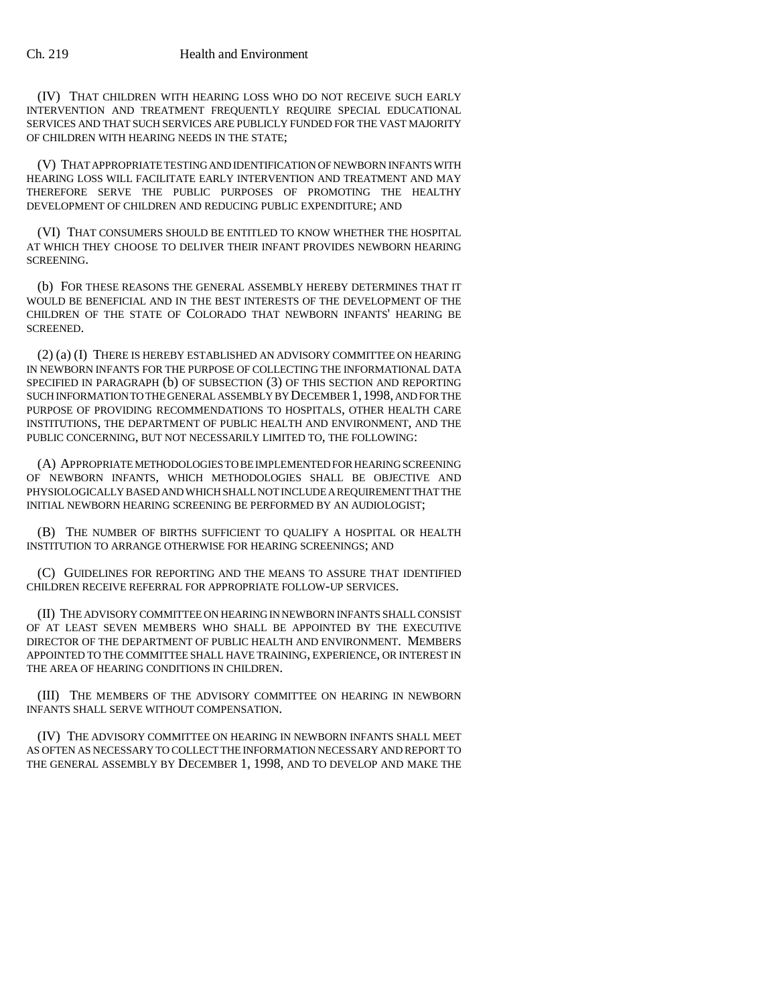(IV) THAT CHILDREN WITH HEARING LOSS WHO DO NOT RECEIVE SUCH EARLY INTERVENTION AND TREATMENT FREQUENTLY REQUIRE SPECIAL EDUCATIONAL SERVICES AND THAT SUCH SERVICES ARE PUBLICLY FUNDED FOR THE VAST MAJORITY OF CHILDREN WITH HEARING NEEDS IN THE STATE;

(V) THAT APPROPRIATE TESTING AND IDENTIFICATION OF NEWBORN INFANTS WITH HEARING LOSS WILL FACILITATE EARLY INTERVENTION AND TREATMENT AND MAY THEREFORE SERVE THE PUBLIC PURPOSES OF PROMOTING THE HEALTHY DEVELOPMENT OF CHILDREN AND REDUCING PUBLIC EXPENDITURE; AND

(VI) THAT CONSUMERS SHOULD BE ENTITLED TO KNOW WHETHER THE HOSPITAL AT WHICH THEY CHOOSE TO DELIVER THEIR INFANT PROVIDES NEWBORN HEARING SCREENING.

(b) FOR THESE REASONS THE GENERAL ASSEMBLY HEREBY DETERMINES THAT IT WOULD BE BENEFICIAL AND IN THE BEST INTERESTS OF THE DEVELOPMENT OF THE CHILDREN OF THE STATE OF COLORADO THAT NEWBORN INFANTS' HEARING BE SCREENED.

(2) (a) (I) THERE IS HEREBY ESTABLISHED AN ADVISORY COMMITTEE ON HEARING IN NEWBORN INFANTS FOR THE PURPOSE OF COLLECTING THE INFORMATIONAL DATA SPECIFIED IN PARAGRAPH (b) OF SUBSECTION (3) OF THIS SECTION AND REPORTING SUCH INFORMATION TO THE GENERAL ASSEMBLY BY DECEMBER 1,1998, AND FOR THE PURPOSE OF PROVIDING RECOMMENDATIONS TO HOSPITALS, OTHER HEALTH CARE INSTITUTIONS, THE DEPARTMENT OF PUBLIC HEALTH AND ENVIRONMENT, AND THE PUBLIC CONCERNING, BUT NOT NECESSARILY LIMITED TO, THE FOLLOWING:

(A) APPROPRIATE METHODOLOGIES TO BE IMPLEMENTED FOR HEARING SCREENING OF NEWBORN INFANTS, WHICH METHODOLOGIES SHALL BE OBJECTIVE AND PHYSIOLOGICALLY BASED AND WHICH SHALL NOT INCLUDE A REQUIREMENT THAT THE INITIAL NEWBORN HEARING SCREENING BE PERFORMED BY AN AUDIOLOGIST;

(B) THE NUMBER OF BIRTHS SUFFICIENT TO QUALIFY A HOSPITAL OR HEALTH INSTITUTION TO ARRANGE OTHERWISE FOR HEARING SCREENINGS; AND

(C) GUIDELINES FOR REPORTING AND THE MEANS TO ASSURE THAT IDENTIFIED CHILDREN RECEIVE REFERRAL FOR APPROPRIATE FOLLOW-UP SERVICES.

(II) THE ADVISORY COMMITTEE ON HEARING IN NEWBORN INFANTS SHALL CONSIST OF AT LEAST SEVEN MEMBERS WHO SHALL BE APPOINTED BY THE EXECUTIVE DIRECTOR OF THE DEPARTMENT OF PUBLIC HEALTH AND ENVIRONMENT. MEMBERS APPOINTED TO THE COMMITTEE SHALL HAVE TRAINING, EXPERIENCE, OR INTEREST IN THE AREA OF HEARING CONDITIONS IN CHILDREN.

(III) THE MEMBERS OF THE ADVISORY COMMITTEE ON HEARING IN NEWBORN INFANTS SHALL SERVE WITHOUT COMPENSATION.

(IV) THE ADVISORY COMMITTEE ON HEARING IN NEWBORN INFANTS SHALL MEET AS OFTEN AS NECESSARY TO COLLECT THE INFORMATION NECESSARY AND REPORT TO THE GENERAL ASSEMBLY BY DECEMBER 1, 1998, AND TO DEVELOP AND MAKE THE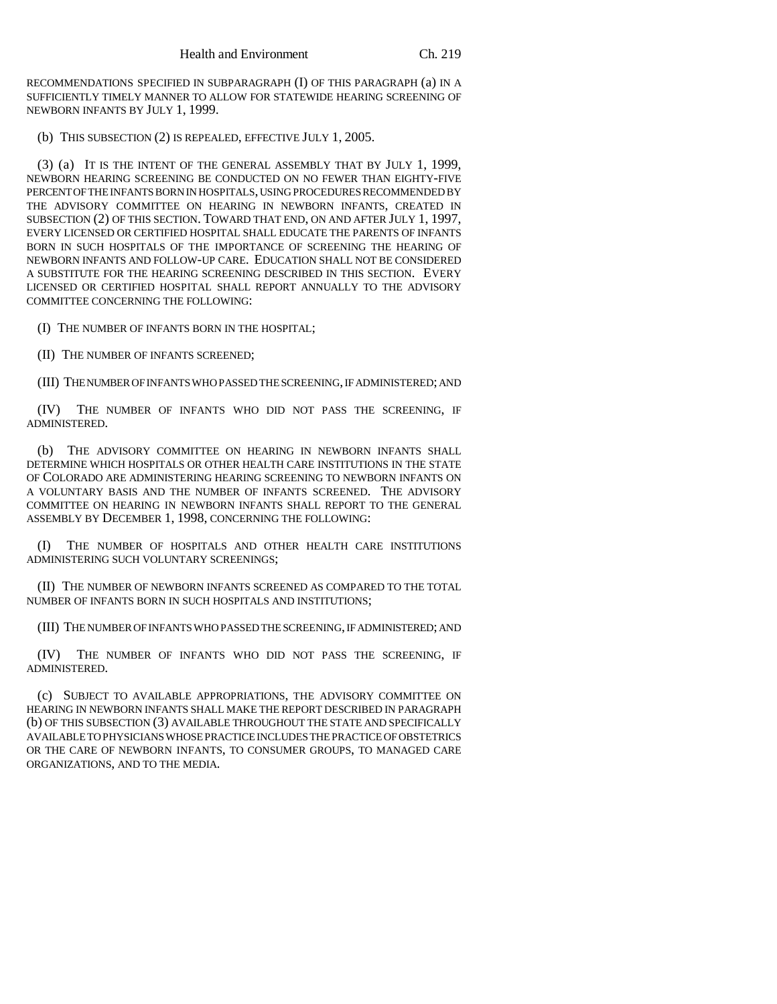RECOMMENDATIONS SPECIFIED IN SUBPARAGRAPH (I) OF THIS PARAGRAPH (a) IN A SUFFICIENTLY TIMELY MANNER TO ALLOW FOR STATEWIDE HEARING SCREENING OF NEWBORN INFANTS BY JULY 1, 1999.

(b) THIS SUBSECTION (2) IS REPEALED, EFFECTIVE JULY 1, 2005.

(3) (a) IT IS THE INTENT OF THE GENERAL ASSEMBLY THAT BY JULY 1, 1999, NEWBORN HEARING SCREENING BE CONDUCTED ON NO FEWER THAN EIGHTY-FIVE PERCENT OF THE INFANTS BORN IN HOSPITALS, USING PROCEDURES RECOMMENDED BY THE ADVISORY COMMITTEE ON HEARING IN NEWBORN INFANTS, CREATED IN SUBSECTION (2) OF THIS SECTION. TOWARD THAT END, ON AND AFTER JULY 1, 1997, EVERY LICENSED OR CERTIFIED HOSPITAL SHALL EDUCATE THE PARENTS OF INFANTS BORN IN SUCH HOSPITALS OF THE IMPORTANCE OF SCREENING THE HEARING OF NEWBORN INFANTS AND FOLLOW-UP CARE. EDUCATION SHALL NOT BE CONSIDERED A SUBSTITUTE FOR THE HEARING SCREENING DESCRIBED IN THIS SECTION. EVERY LICENSED OR CERTIFIED HOSPITAL SHALL REPORT ANNUALLY TO THE ADVISORY COMMITTEE CONCERNING THE FOLLOWING:

(I) THE NUMBER OF INFANTS BORN IN THE HOSPITAL;

(II) THE NUMBER OF INFANTS SCREENED;

(III) THE NUMBER OF INFANTS WHO PASSED THE SCREENING, IF ADMINISTERED; AND

(IV) THE NUMBER OF INFANTS WHO DID NOT PASS THE SCREENING, IF ADMINISTERED.

(b) THE ADVISORY COMMITTEE ON HEARING IN NEWBORN INFANTS SHALL DETERMINE WHICH HOSPITALS OR OTHER HEALTH CARE INSTITUTIONS IN THE STATE OF COLORADO ARE ADMINISTERING HEARING SCREENING TO NEWBORN INFANTS ON A VOLUNTARY BASIS AND THE NUMBER OF INFANTS SCREENED. THE ADVISORY COMMITTEE ON HEARING IN NEWBORN INFANTS SHALL REPORT TO THE GENERAL ASSEMBLY BY DECEMBER 1, 1998, CONCERNING THE FOLLOWING:

(I) THE NUMBER OF HOSPITALS AND OTHER HEALTH CARE INSTITUTIONS ADMINISTERING SUCH VOLUNTARY SCREENINGS;

(II) THE NUMBER OF NEWBORN INFANTS SCREENED AS COMPARED TO THE TOTAL NUMBER OF INFANTS BORN IN SUCH HOSPITALS AND INSTITUTIONS;

(III) THE NUMBER OF INFANTS WHO PASSED THE SCREENING, IF ADMINISTERED; AND

(IV) THE NUMBER OF INFANTS WHO DID NOT PASS THE SCREENING, IF ADMINISTERED.

(c) SUBJECT TO AVAILABLE APPROPRIATIONS, THE ADVISORY COMMITTEE ON HEARING IN NEWBORN INFANTS SHALL MAKE THE REPORT DESCRIBED IN PARAGRAPH (b) OF THIS SUBSECTION (3) AVAILABLE THROUGHOUT THE STATE AND SPECIFICALLY AVAILABLE TO PHYSICIANS WHOSE PRACTICE INCLUDES THE PRACTICE OF OBSTETRICS OR THE CARE OF NEWBORN INFANTS, TO CONSUMER GROUPS, TO MANAGED CARE ORGANIZATIONS, AND TO THE MEDIA.